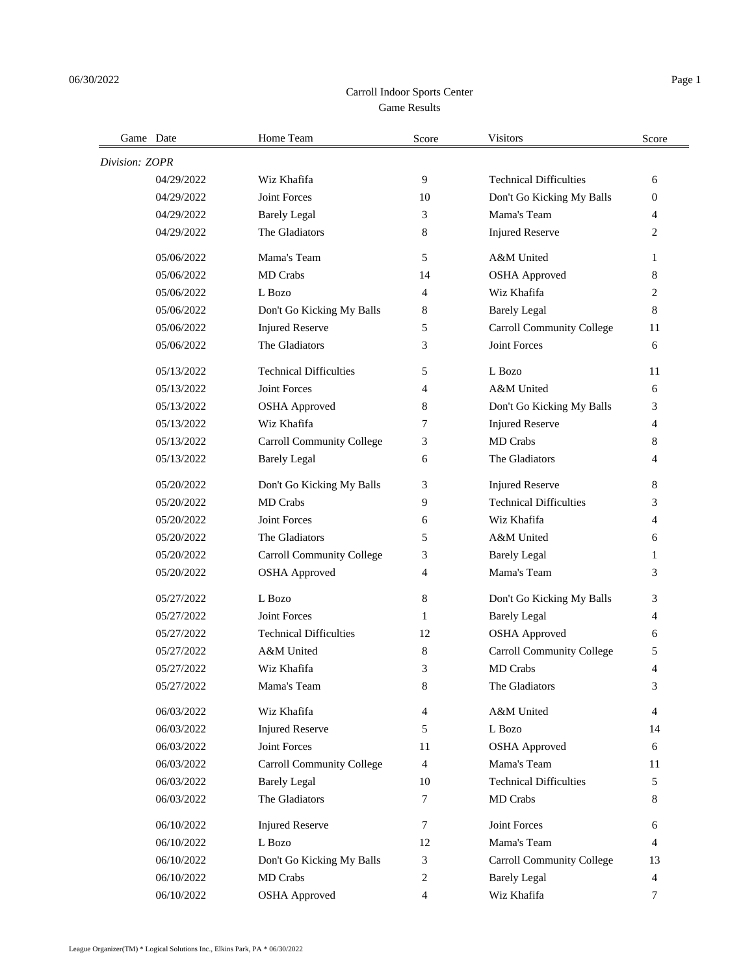## Game Results Carroll Indoor Sports Center

| Game Date      |            | Home Team                        | Score  | <b>Visitors</b>                  | Score    |
|----------------|------------|----------------------------------|--------|----------------------------------|----------|
| Division: ZOPR |            |                                  |        |                                  |          |
|                | 04/29/2022 | Wiz Khafifa                      | 9      | <b>Technical Difficulties</b>    | 6        |
|                | 04/29/2022 | <b>Joint Forces</b>              | 10     | Don't Go Kicking My Balls        | $\theta$ |
|                | 04/29/2022 | <b>Barely Legal</b>              | 3      | Mama's Team                      | 4        |
|                | 04/29/2022 | The Gladiators                   | 8      | <b>Injured Reserve</b>           | 2        |
|                | 05/06/2022 | Mama's Team                      | 5      | A&M United                       | 1        |
|                | 05/06/2022 | <b>MD</b> Crabs                  | 14     | <b>OSHA Approved</b>             | 8        |
|                | 05/06/2022 | L Bozo                           | 4      | Wiz Khafifa                      | 2        |
|                | 05/06/2022 | Don't Go Kicking My Balls        | 8      | <b>Barely Legal</b>              | 8        |
|                | 05/06/2022 | <b>Injured Reserve</b>           | 5      | Carroll Community College        | 11       |
|                | 05/06/2022 | The Gladiators                   | 3      | Joint Forces                     | 6        |
|                | 05/13/2022 | <b>Technical Difficulties</b>    | 5      | L Bozo                           | 11       |
|                | 05/13/2022 | <b>Joint Forces</b>              | 4      | A&M United                       | 6        |
|                | 05/13/2022 | <b>OSHA Approved</b>             | 8      | Don't Go Kicking My Balls        | 3        |
|                | 05/13/2022 | Wiz Khafifa                      | 7      | <b>Injured Reserve</b>           | 4        |
|                | 05/13/2022 | <b>Carroll Community College</b> | 3      | MD Crabs                         | 8        |
|                | 05/13/2022 | <b>Barely Legal</b>              | 6      | The Gladiators                   | 4        |
|                | 05/20/2022 | Don't Go Kicking My Balls        | 3      | <b>Injured Reserve</b>           | 8        |
|                | 05/20/2022 | MD Crabs                         | 9      | <b>Technical Difficulties</b>    | 3        |
|                | 05/20/2022 | Joint Forces                     | 6      | Wiz Khafifa                      | 4        |
|                | 05/20/2022 | The Gladiators                   | 5      | A&M United                       | 6        |
|                | 05/20/2022 | Carroll Community College        | 3      | <b>Barely Legal</b>              | 1        |
|                | 05/20/2022 | <b>OSHA</b> Approved             | 4      | Mama's Team                      | 3        |
|                | 05/27/2022 | L Bozo                           | 8      | Don't Go Kicking My Balls        | 3        |
|                | 05/27/2022 | <b>Joint Forces</b>              | 1      | <b>Barely Legal</b>              | 4        |
|                | 05/27/2022 | <b>Technical Difficulties</b>    | 12     | <b>OSHA Approved</b>             | 6        |
|                | 05/27/2022 | A&M United                       | 8      | Carroll Community College        | 5        |
|                | 05/27/2022 | Wiz Khafifa                      | 3      | <b>MD</b> Crabs                  | 4        |
|                | 05/27/2022 | Mama's Team                      | 8      | The Gladiators                   | 3        |
|                | 06/03/2022 | Wiz Khafifa                      | 4      | A&M United                       | 4        |
|                | 06/03/2022 | <b>Injured Reserve</b>           | 5      | L Bozo                           | 14       |
|                | 06/03/2022 | Joint Forces                     | 11     | <b>OSHA Approved</b>             | 6        |
|                | 06/03/2022 | <b>Carroll Community College</b> | 4      | Mama's Team                      | 11       |
|                | 06/03/2022 | <b>Barely Legal</b>              | 10     | <b>Technical Difficulties</b>    | 5        |
|                | 06/03/2022 | The Gladiators                   | $\tau$ | MD Crabs                         | 8        |
|                | 06/10/2022 | <b>Injured Reserve</b>           | 7      | Joint Forces                     | 6        |
|                | 06/10/2022 | L Bozo                           | 12     | Mama's Team                      | 4        |
|                | 06/10/2022 | Don't Go Kicking My Balls        | 3      | <b>Carroll Community College</b> | 13       |
|                | 06/10/2022 | MD Crabs                         | 2      | <b>Barely Legal</b>              | 4        |
|                | 06/10/2022 | <b>OSHA</b> Approved             | 4      | Wiz Khafifa                      | 7        |